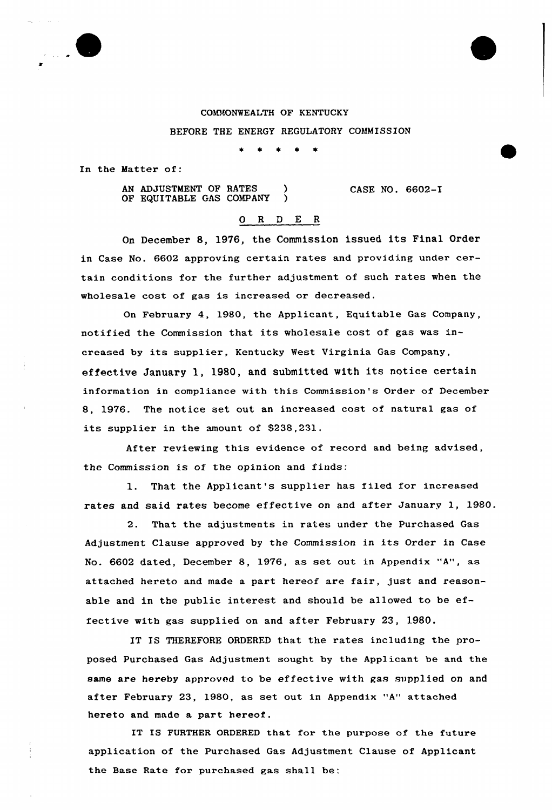## COMMONWEALTH OF KENTUCKY

BEFORE THE ENERGY REGULATORY COMMISSION

In the Hatter of:

AN ADJUSTMENT OF RATES OF EQUITABLE GAS COMPANY ) CASE NO. 6602-I

## O R D E R

On December 8, 1976, the Commission issued its Final Order in Case No. 6602 approving certain rates and providing under certain conditions for the further adjustment of such rates when the wholesale cost of gas is increased or decreased.

On February 4, 1980, the Applicant, Equitable Gas Company, notified the Commission that its wholesale cost of gas was increased by its supplier, Kentucky West Virginia Gas Company, effective January 1, 1980, and submitted with its notice certain information in compliance with this Commission's Order of December 8, 1976. The notice set out an increased cost of natural gas of its supplier in the amount of 8238,231.

After reviewing this evidence of record and being advised, the Commission is of the opinion and finds:

l. That the Applicant's suppliex has filed fox increased rates and said rates become effective on and after January 1, 1980.

2. That the adjustments in rates under the Purchased Gas Adjustment Clause approved by the Commission in its Order in Case No. 6602 dated, December 8, 1976, as set out in Appendix "A", as attached hereto and made <sup>a</sup> part hereof are fair, just and reasonable and in the public interest and should be allowed to be effective with gas supplied on and after February 23, 1980.

IT IS THEREFORE ORDERED that the rates including the proposed Purchased Gas Adjustment sought by the Applicant be and the same are hereby approved to be effective with gas supplied on and after February 23, 1980, as set out in Appendix "A" attached hereto and made a part hereof.

IT IS FURTHER ORDERED that for the purpose of the future application of the Purchased Gas Adjustment Clause of Applicant the Base Rate fox purchased gas shall be: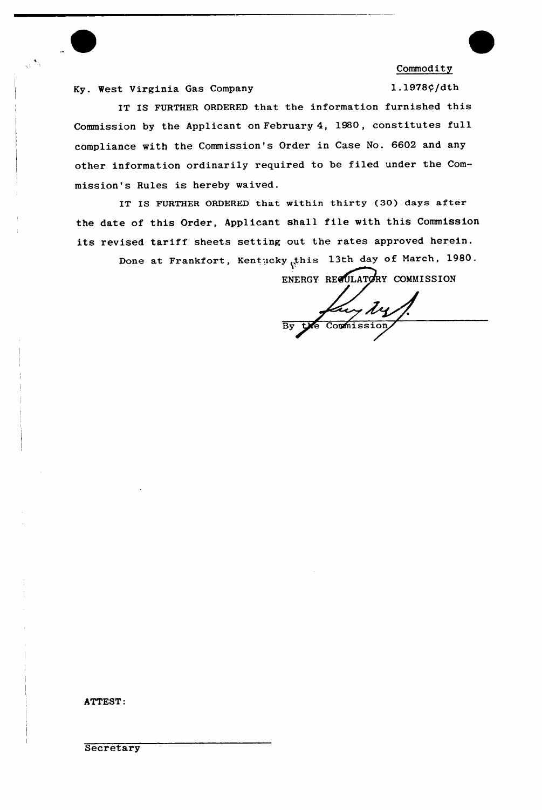

**Commodity** 

Ky. West Virginia Gas Company

1.1978¢/dth

IT IS FURTHER ORDERED that the information furnished this Commission by the Applicant on February 4, 1980, constitutes full compliance with the Commission's Order in Case No. 6602 and any other information ordinarily required to be filed under the Commission's Rules is hereby waived.

IT IS FURTHER ORDERED that within thirty (30) days after the date of this Order, Applicant shall file with this Commission its revised tariff sheets setting out the rates approved herein.

Done at Frankfort, Kentucky this 13th day of March, 1980. ENERGY REGULATORY COMMISSION

Kuy My

ATTEST: